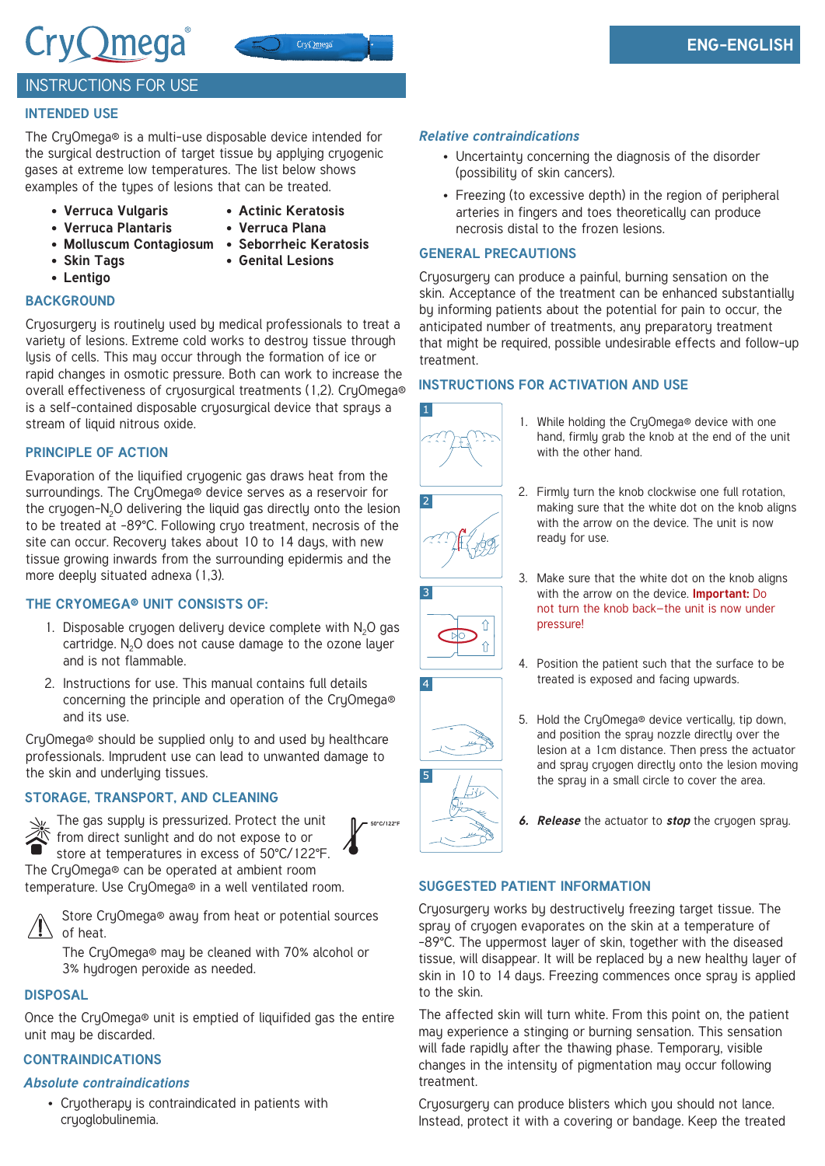# CryQmega®



# **ENG-ENGLISH**

# INSTRUCTIONS FOR USE

# **INTENDED USE**

The CruOmega® is a multi-use disposable device intended for the surgical destruction of target tissue by applying cryogenic gases at extreme low temperatures. The list below shows examples of the types of lesions that can be treated.

- **• Verruca Vulgaris**
- **• Actinic Keratosis**
- **• Verruca Plantaris**
- **• Verruca Plana**
- **• Molluscum Contagiosum • Seborrheic Keratosis**
	-
- **• Lentigo**
- 
- **• Skin Tags**
- **• Genital Lesions**

### **BACKGROUND**

Cryosurgery is routinely used by medical professionals to treat a variety of lesions. Extreme cold works to destroy tissue through lysis of cells. This may occur through the formation of ice or rapid changes in osmotic pressure. Both can work to increase the overall effectiveness of cryosurgical treatments (1,2). CryOmega® is a self-contained disposable cryosurgical device that sprays a stream of liquid nitrous oxide.

#### **PRINCIPLE OF ACTION**

Evaporation of the liquified cryogenic gas draws heat from the surroundings. The CryOmega® device serves as a reservoir for the cruogen-N<sub>2</sub>O delivering the liquid gas directly onto the lesion to be treated at -89°C. Following cryo treatment, necrosis of the site can occur. Recovery takes about 10 to 14 days, with new tissue growing inwards from the surrounding epidermis and the more deeply situated adnexa (1,3).

# **THE CRYOMEGA® UNIT CONSISTS OF:**

- 1. Disposable cryogen delivery device complete with  $N_2O$  gas cartridge.  $N<sub>2</sub>O$  does not cause damage to the ozone layer and is not flammable.
- 2. Instructions for use. This manual contains full details concerning the principle and operation of the CryOmega® and its use.

CryOmega® should be supplied only to and used by healthcare professionals. Imprudent use can lead to unwanted damage to the skin and underlying tissues.

# **STORAGE, TRANSPORT, AND CLEANING**



The gas supply is pressurized. Protect the unit from direct sunlight and do not expose to or store at temperatures in excess of 50°C/122°F.

The CryOmega® can be operated at ambient room temperature. Use CryOmega® in a well ventilated room.

Store CryOmega® away from heat or potential sources of heat.

The CryOmega® may be cleaned with 70% alcohol or 3% hydrogen peroxide as needed.

#### **DISPOSAL**

Once the CryOmega® unit is emptied of liquifided gas the entire unit may be discarded.

# **CONTRAINDICATIONS**

#### *Absolute contraindications*

• Cryotherapy is contraindicated in patients with cryoglobulinemia.

#### *Relative contraindications*

- Uncertainty concerning the diagnosis of the disorder (possibility of skin cancers).
- Freezing (to excessive depth) in the region of peripheral arteries in fingers and toes theoretically can produce necrosis distal to the frozen lesions.

#### **GENERAL PRECAUTIONS**

Cryosurgery can produce a painful, burning sensation on the skin. Acceptance of the treatment can be enhanced substantially by informing patients about the potential for pain to occur, the anticipated number of treatments, any preparatory treatment that might be required, possible undesirable effects and follow-up treatment.

#### **INSTRUCTIONS FOR ACTIVATION AND USE**



⇑  $\hat{\mathsf{T}}$ 

- 1. While holding the CryOmega® device with one hand, firmly grab the knob at the end of the unit with the other hand.
- 2. Firmly turn the knob clockwise one full rotation, making sure that the white dot on the knob aligns with the arrow on the device. The unit is now readu for use.
- 3. Make sure that the white dot on the knob aligns with the arrow on the device. **Important:** Do not turn the knob back—the unit is now under pressure!
- 4. Position the patient such that the surface to be treated is exposed and facing upwards.



**50°C/122°F**

5. Hold the CryOmega® device vertically, tip down, and position the spray nozzle directly over the lesion at a 1cm distance. Then press the actuator and spray cryogen directly onto the lesion moving the spray in a small circle to cover the area.

*6. Release* the actuator to *stop* the cryogen spray.

#### **SUGGESTED PATIENT INFORMATION**

Cryosurgery works by destructively freezing target tissue. The spray of cryogen evaporates on the skin at a temperature of -89°C. The uppermost layer of skin, together with the diseased tissue, will disappear. It will be replaced by a new healthy layer of skin in 10 to 14 days. Freezing commences once spray is applied to the skin.

The affected skin will turn white. From this point on, the patient may experience a stinging or burning sensation. This sensation will fade rapidly after the thawing phase. Temporary, visible changes in the intensity of pigmentation may occur following treatment.

Cryosurgery can produce blisters which you should not lance. Instead, protect it with a covering or bandage. Keep the treated